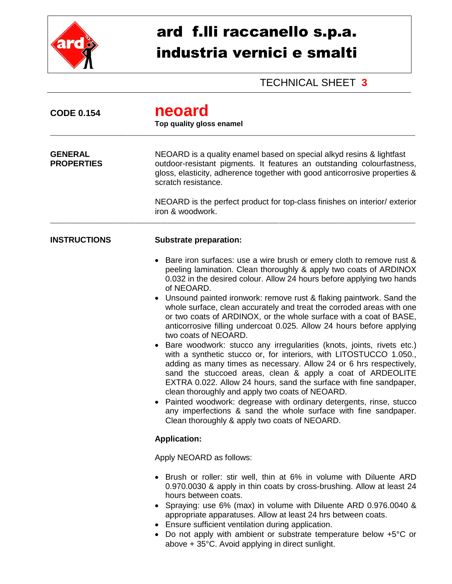

## ard f.lli raccanello s.p.a. industria vernici e smalti

TECHNICAL SHEET **3**

| <b>CODE 0.154</b>                   | neoard<br>Top quality gloss enamel                                                                                                                                                                                                                                                                                                                                                                                                                                                                                                                                                                                                                                                                                                                                                                                                                                                                                                                                                                                                                                                                                                                                |  |  |
|-------------------------------------|-------------------------------------------------------------------------------------------------------------------------------------------------------------------------------------------------------------------------------------------------------------------------------------------------------------------------------------------------------------------------------------------------------------------------------------------------------------------------------------------------------------------------------------------------------------------------------------------------------------------------------------------------------------------------------------------------------------------------------------------------------------------------------------------------------------------------------------------------------------------------------------------------------------------------------------------------------------------------------------------------------------------------------------------------------------------------------------------------------------------------------------------------------------------|--|--|
| <b>GENERAL</b><br><b>PROPERTIES</b> | NEOARD is a quality enamel based on special alkyd resins & lightfast<br>outdoor-resistant pigments. It features an outstanding colourfastness,<br>gloss, elasticity, adherence together with good anticorrosive properties &<br>scratch resistance.                                                                                                                                                                                                                                                                                                                                                                                                                                                                                                                                                                                                                                                                                                                                                                                                                                                                                                               |  |  |
|                                     | NEOARD is the perfect product for top-class finishes on interior/exterior<br>iron & woodwork.                                                                                                                                                                                                                                                                                                                                                                                                                                                                                                                                                                                                                                                                                                                                                                                                                                                                                                                                                                                                                                                                     |  |  |
| <b>INSTRUCTIONS</b>                 | <b>Substrate preparation:</b>                                                                                                                                                                                                                                                                                                                                                                                                                                                                                                                                                                                                                                                                                                                                                                                                                                                                                                                                                                                                                                                                                                                                     |  |  |
|                                     | • Bare iron surfaces: use a wire brush or emery cloth to remove rust &<br>peeling lamination. Clean thoroughly & apply two coats of ARDINOX<br>0.032 in the desired colour. Allow 24 hours before applying two hands<br>of NEOARD.<br>Unsound painted ironwork: remove rust & flaking paintwork. Sand the<br>whole surface, clean accurately and treat the corroded areas with one<br>or two coats of ARDINOX, or the whole surface with a coat of BASE,<br>anticorrosive filling undercoat 0.025. Allow 24 hours before applying<br>two coats of NEOARD.<br>• Bare woodwork: stucco any irregularities (knots, joints, rivets etc.)<br>with a synthetic stucco or, for interiors, with LITOSTUCCO 1.050.,<br>adding as many times as necessary. Allow 24 or 6 hrs respectively,<br>sand the stuccoed areas, clean & apply a coat of ARDEOLITE<br>EXTRA 0.022. Allow 24 hours, sand the surface with fine sandpaper,<br>clean thoroughly and apply two coats of NEOARD.<br>Painted woodwork: degrease with ordinary detergents, rinse, stucco<br>any imperfections & sand the whole surface with fine sandpaper.<br>Clean thoroughly & apply two coats of NEOARD. |  |  |
|                                     | <b>Application:</b>                                                                                                                                                                                                                                                                                                                                                                                                                                                                                                                                                                                                                                                                                                                                                                                                                                                                                                                                                                                                                                                                                                                                               |  |  |
|                                     | Apply NEOARD as follows:                                                                                                                                                                                                                                                                                                                                                                                                                                                                                                                                                                                                                                                                                                                                                                                                                                                                                                                                                                                                                                                                                                                                          |  |  |
|                                     | • Brush or roller: stir well, thin at 6% in volume with Diluente ARD<br>0.970.0030 & apply in thin coats by cross-brushing. Allow at least 24<br>hours between coats.<br>• Spraying: use 6% (max) in volume with Diluente ARD 0.976.0040 &<br>appropriate apparatuses. Allow at least 24 hrs between coats.<br>Ensure sufficient ventilation during application.<br>Do not apply with ambient or substrate temperature below +5°C or<br>above + 35°C. Avoid applying in direct sunlight.                                                                                                                                                                                                                                                                                                                                                                                                                                                                                                                                                                                                                                                                          |  |  |